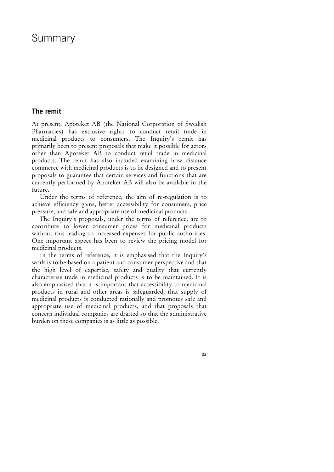# Summary

# **The remit**

At present, Apoteket AB (the National Corporation of Swedish Pharmacies) has exclusive rights to conduct retail trade in medicinal products to consumers. The Inquiry's remit has primarily been to present proposals that make it possible for actors other than Apoteket AB to conduct retail trade in medicinal products. The remit has also included examining how distance commerce with medicinal products is to be designed and to present proposals to guarantee that certain services and functions that are currently performed by Apoteket AB will also be available in the future.

Under the terms of reference, the aim of re-regulation is to achieve efficiency gains, better accessibility for consumers, price pressure, and safe and appropriate use of medicinal products.

The Inquiry's proposals, under the terms of reference, are to contribute to lower consumer prices for medicinal products without this leading to increased expenses for public authorities. One important aspect has been to review the pricing model for medicinal products.

In the terms of reference, it is emphasised that the Inquiry's work is to be based on a patient and consumer perspective and that the high level of expertise, safety and quality that currently characterise trade in medicinal products is to be maintained. It is also emphasised that it is important that accessibility to medicinal products in rural and other areas is safeguarded, that supply of medicinal products is conducted rationally and promotes safe and appropriate use of medicinal products, and that proposals that concern individual companies are drafted so that the administrative burden on these companies is as little as possible.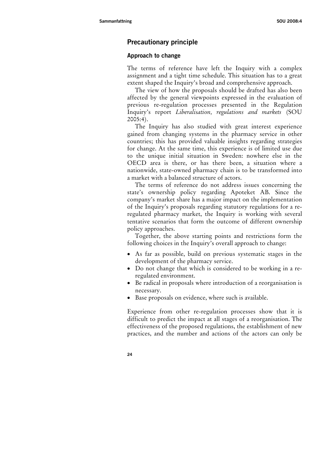# **Precautionary principle**

#### **Approach to change**

The terms of reference have left the Inquiry with a complex assignment and a tight time schedule. This situation has to a great extent shaped the Inquiry's broad and comprehensive approach.

The view of how the proposals should be drafted has also been affected by the general viewpoints expressed in the evaluation of previous re-regulation processes presented in the Regulation Inquiry's report *Liberalisation, regulations and markets* (SOU 2005:4).

The Inquiry has also studied with great interest experience gained from changing systems in the pharmacy service in other countries; this has provided valuable insights regarding strategies for change. At the same time, this experience is of limited use due to the unique initial situation in Sweden: nowhere else in the OECD area is there, or has there been, a situation where a nationwide, state-owned pharmacy chain is to be transformed into a market with a balanced structure of actors.

The terms of reference do not address issues concerning the state's ownership policy regarding Apoteket AB. Since the company's market share has a major impact on the implementation of the Inquiry's proposals regarding statutory regulations for a reregulated pharmacy market, the Inquiry is working with several tentative scenarios that form the outcome of different ownership policy approaches.

Together, the above starting points and restrictions form the following choices in the Inquiry's overall approach to change:

- As far as possible, build on previous systematic stages in the development of the pharmacy service.
- Do not change that which is considered to be working in a reregulated environment.
- Be radical in proposals where introduction of a reorganisation is necessary.
- Base proposals on evidence, where such is available.

Experience from other re-regulation processes show that it is difficult to predict the impact at all stages of a reorganisation. The effectiveness of the proposed regulations, the establishment of new practices, and the number and actions of the actors can only be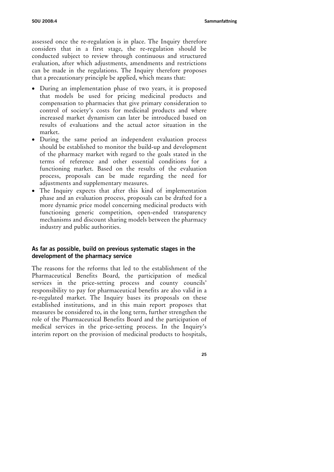assessed once the re-regulation is in place. The Inquiry therefore considers that in a first stage, the re-regulation should be conducted subject to review through continuous and structured evaluation, after which adjustments, amendments and restrictions can be made in the regulations. The Inquiry therefore proposes that a precautionary principle be applied, which means that:

- During an implementation phase of two years, it is proposed that models be used for pricing medicinal products and compensation to pharmacies that give primary consideration to control of society's costs for medicinal products and where increased market dynamism can later be introduced based on results of evaluations and the actual actor situation in the market.
- During the same period an independent evaluation process should be established to monitor the build-up and development of the pharmacy market with regard to the goals stated in the terms of reference and other essential conditions for a functioning market. Based on the results of the evaluation process, proposals can be made regarding the need for adjustments and supplementary measures.
- The Inquiry expects that after this kind of implementation phase and an evaluation process, proposals can be drafted for a more dynamic price model concerning medicinal products with functioning generic competition, open-ended transparency mechanisms and discount sharing models between the pharmacy industry and public authorities.

## **As far as possible, build on previous systematic stages in the development of the pharmacy service**

The reasons for the reforms that led to the establishment of the Pharmaceutical Benefits Board, the participation of medical services in the price-setting process and county councils' responsibility to pay for pharmaceutical benefits are also valid in a re-regulated market. The Inquiry bases its proposals on these established institutions, and in this main report proposes that measures be considered to, in the long term, further strengthen the role of the Pharmaceutical Benefits Board and the participation of medical services in the price-setting process. In the Inquiry's interim report on the provision of medicinal products to hospitals,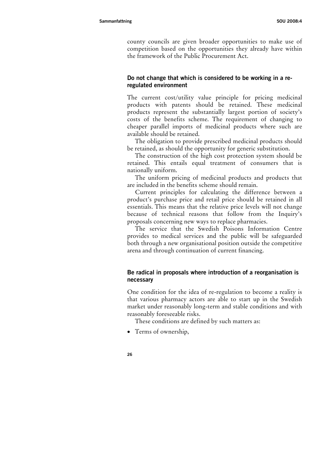county councils are given broader opportunities to make use of competition based on the opportunities they already have within the framework of the Public Procurement Act.

## **Do not change that which is considered to be working in a reregulated environment**

The current cost/utility value principle for pricing medicinal products with patents should be retained. These medicinal products represent the substantially largest portion of society's costs of the benefits scheme. The requirement of changing to cheaper parallel imports of medicinal products where such are available should be retained.

The obligation to provide prescribed medicinal products should be retained, as should the opportunity for generic substitution.

The construction of the high cost protection system should be retained. This entails equal treatment of consumers that is nationally uniform.

The uniform pricing of medicinal products and products that are included in the benefits scheme should remain.

Current principles for calculating the difference between a product's purchase price and retail price should be retained in all essentials. This means that the relative price levels will not change because of technical reasons that follow from the Inquiry's proposals concerning new ways to replace pharmacies.

The service that the Swedish Poisons Information Centre provides to medical services and the public will be safeguarded both through a new organisational position outside the competitive arena and through continuation of current financing.

## **Be radical in proposals where introduction of a reorganisation is necessary**

One condition for the idea of re-regulation to become a reality is that various pharmacy actors are able to start up in the Swedish market under reasonably long-term and stable conditions and with reasonably foreseeable risks.

These conditions are defined by such matters as:

- Terms of ownership,
- **26**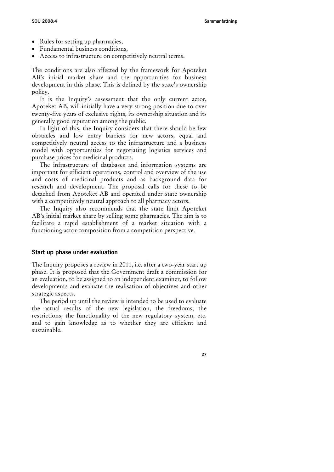- Rules for setting up pharmacies,
- Fundamental business conditions,
- Access to infrastructure on competitively neutral terms.

The conditions are also affected by the framework for Apoteket AB's initial market share and the opportunities for business development in this phase. This is defined by the state's ownership policy.

It is the Inquiry's assessment that the only current actor, Apoteket AB, will initially have a very strong position due to over twenty-five years of exclusive rights, its ownership situation and its generally good reputation among the public.

In light of this, the Inquiry considers that there should be few obstacles and low entry barriers for new actors, equal and competitively neutral access to the infrastructure and a business model with opportunities for negotiating logistics services and purchase prices for medicinal products.

The infrastructure of databases and information systems are important for efficient operations, control and overview of the use and costs of medicinal products and as background data for research and development. The proposal calls for these to be detached from Apoteket AB and operated under state ownership with a competitively neutral approach to all pharmacy actors.

The Inquiry also recommends that the state limit Apoteket AB's initial market share by selling some pharmacies. The aim is to facilitate a rapid establishment of a market situation with a functioning actor composition from a competition perspective.

#### **Start up phase under evaluation**

The Inquiry proposes a review in 2011, i.e. after a two-year start up phase. It is proposed that the Government draft a commission for an evaluation, to be assigned to an independent examiner, to follow developments and evaluate the realisation of objectives and other strategic aspects.

The period up until the review is intended to be used to evaluate the actual results of the new legislation, the freedoms, the restrictions, the functionality of the new regulatory system, etc. and to gain knowledge as to whether they are efficient and sustainable.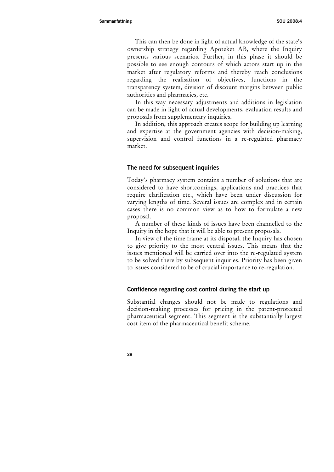This can then be done in light of actual knowledge of the state's ownership strategy regarding Apoteket AB, where the Inquiry presents various scenarios. Further, in this phase it should be possible to see enough contours of which actors start up in the market after regulatory reforms and thereby reach conclusions regarding the realisation of objectives, functions in the transparency system, division of discount margins between public authorities and pharmacies, etc.

In this way necessary adjustments and additions in legislation can be made in light of actual developments, evaluation results and proposals from supplementary inquiries.

In addition, this approach creates scope for building up learning and expertise at the government agencies with decision-making, supervision and control functions in a re-regulated pharmacy market.

#### **The need for subsequent inquiries**

Today's pharmacy system contains a number of solutions that are considered to have shortcomings, applications and practices that require clarification etc., which have been under discussion for varying lengths of time. Several issues are complex and in certain cases there is no common view as to how to formulate a new proposal.

A number of these kinds of issues have been channelled to the Inquiry in the hope that it will be able to present proposals.

In view of the time frame at its disposal, the Inquiry has chosen to give priority to the most central issues. This means that the issues mentioned will be carried over into the re-regulated system to be solved there by subsequent inquiries. Priority has been given to issues considered to be of crucial importance to re-regulation.

#### **Confidence regarding cost control during the start up**

Substantial changes should not be made to regulations and decision-making processes for pricing in the patent-protected pharmaceutical segment. This segment is the substantially largest cost item of the pharmaceutical benefit scheme.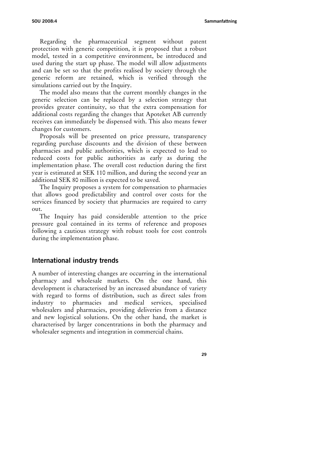Regarding the pharmaceutical segment without patent protection with generic competition, it is proposed that a robust model, tested in a competitive environment, be introduced and used during the start up phase. The model will allow adjustments and can be set so that the profits realised by society through the generic reform are retained, which is verified through the simulations carried out by the Inquiry.

The model also means that the current monthly changes in the generic selection can be replaced by a selection strategy that provides greater continuity, so that the extra compensation for additional costs regarding the changes that Apoteket AB currently receives can immediately be dispensed with. This also means fewer changes for customers.

Proposals will be presented on price pressure, transparency regarding purchase discounts and the division of these between pharmacies and public authorities, which is expected to lead to reduced costs for public authorities as early as during the implementation phase. The overall cost reduction during the first year is estimated at SEK 110 million, and during the second year an additional SEK 80 million is expected to be saved.

The Inquiry proposes a system for compensation to pharmacies that allows good predictability and control over costs for the services financed by society that pharmacies are required to carry out.

The Inquiry has paid considerable attention to the price pressure goal contained in its terms of reference and proposes following a cautious strategy with robust tools for cost controls during the implementation phase.

## **International industry trends**

A number of interesting changes are occurring in the international pharmacy and wholesale markets. On the one hand, this development is characterised by an increased abundance of variety with regard to forms of distribution, such as direct sales from industry to pharmacies and medical services, specialised wholesalers and pharmacies, providing deliveries from a distance and new logistical solutions. On the other hand, the market is characterised by larger concentrations in both the pharmacy and wholesaler segments and integration in commercial chains.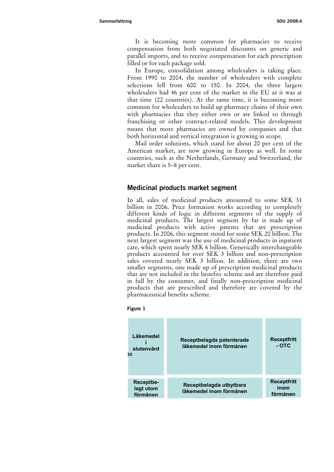It is becoming more common for pharmacies to receive compensation from both negotiated discounts on generic and parallel imports, and to receive compensation for each prescription filled or for each package sold.

In Europe, consolidation among wholesalers is taking place. From 1990 to 2004, the number of wholesalers with complete selections fell from 600 to 150. In 2004, the three largest wholesalers had 46 per cent of the market in the EU as it was at that time (22 countries). At the same time, it is becoming more common for wholesalers to build up pharmacy chains of their own with pharmacies that they either own or are linked to through franchising or other contract-related models. This development means that more pharmacies are owned by companies and that both horizontal and vertical integration is growing in scope.

Mail order solutions, which stand for about 20 per cent of the American market, are now growing in Europe as well. In some countries, such as the Netherlands, Germany and Switzerland, the market share is 5–8 per cent.

## **Medicinal products market segment**

In all, sales of medicinal products amounted to some SEK 31 billion in 2006. Price formation works according to completely different kinds of logic in different segments of the supply of medicinal products. The largest segment by far is made up of medicinal products with active patents that are prescription products. In 2006, this segment stood for some SEK 20 billion. The next largest segment was the use of medicinal products in inpatient care, which spent nearly SEK 6 billion. Generically interchangeable products accounted for over SEK 3 billion and non-prescription sales covered nearly SEK 3 billion. In addition, there are two smaller segments, one made up of prescription medicinal products that are not included in the benefits scheme and are therefore paid in full by the consumer, and finally non-prescription medicinal products that are prescribed and therefore are covered by the pharmaceutical benefits scheme.



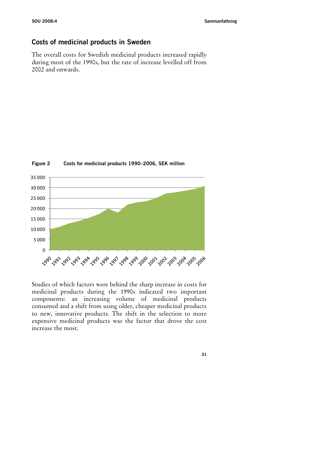# **Costs of medicinal products in Sweden**

The overall costs for Swedish medicinal products increased rapidly during most of the 1990s, but the rate of increase levelled off from 2002 and onwards.



#### **Figure 2 Costs for medicinal products 1990–2006, SEK million**

Studies of which factors were behind the sharp increase in costs for medicinal products during the 1990s indicated two important components: an increasing volume of medicinal products consumed and a shift from using older, cheaper medicinal products to new, innovative products. The shift in the selection to more expensive medicinal products was the factor that drove the cost increase the most.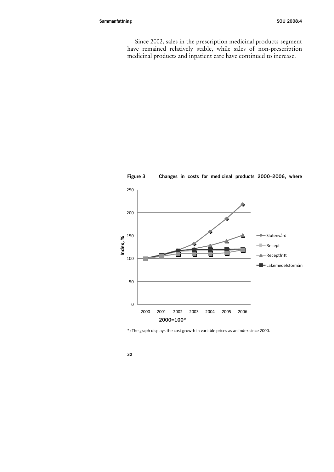Since 2002, sales in the prescription medicinal products segment have remained relatively stable, while sales of non-prescription medicinal products and inpatient care have continued to increase.



**Figure 3 Changes in costs for medicinal products 2000–2006, where** 

\*) The graph displays the cost growth in variable prices as an index since 2000.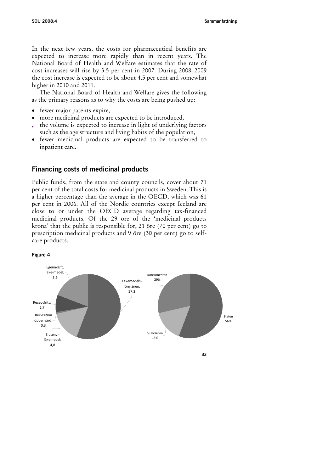In the next few years, the costs for pharmaceutical benefits are expected to increase more rapidly than in recent years. The National Board of Health and Welfare estimates that the rate of cost increases will rise by 3.5 per cent in 2007. During 2008–2009 the cost increase is expected to be about 4.5 per cent and somewhat higher in 2010 and 2011.

The National Board of Health and Welfare gives the following as the primary reasons as to why the costs are being pushed up:

- fewer major patents expire,
- more medicinal products are expected to be introduced,
- the volume is expected to increase in light of underlying factors such as the age structure and living habits of the population,
- fewer medicinal products are expected to be transferred to inpatient care.

# **Financing costs of medicinal products**

Public funds, from the state and county councils, cover about 71 per cent of the total costs for medicinal products in Sweden. This is a higher percentage than the average in the OECD, which was 61 per cent in 2006. All of the Nordic countries except Iceland are close to or under the OECD average regarding tax-financed medicinal products. Of the 29 öre of the 'medicinal products krona' that the public is responsible for, 21 öre (70 per cent) go to prescription medicinal products and 9 öre (30 per cent) go to selfcare products.



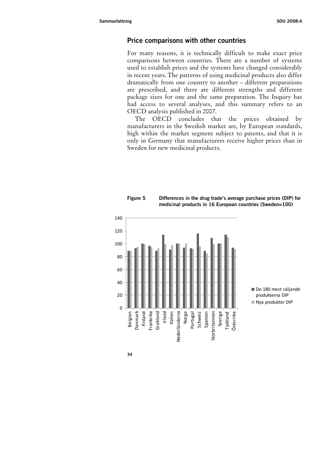## **Price comparisons with other countries**

For many reasons, it is technically difficult to make exact price comparisons between countries. There are a number of systems used to establish prices and the systems have changed considerably in recent years. The patterns of using medicinal products also differ dramatically from one country to another – different preparations are prescribed, and there are different strengths and different package sizes for one and the same preparation. The Inquiry has had access to several analyses, and this summary refers to an OECD analysis published in 2007.

The OECD concludes that the prices obtained by manufacturers in the Swedish market are, by European standards, high within the market segment subject to patents, and that it is only in Germany that manufacturers receive higher prices than in Sweden for new medicinal products.





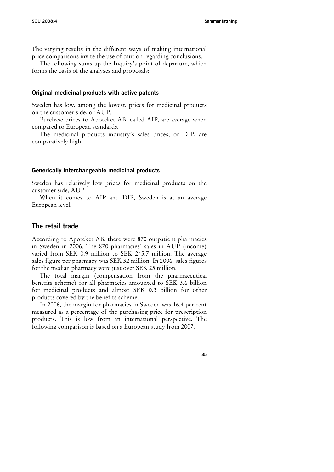The varying results in the different ways of making international price comparisons invite the use of caution regarding conclusions.

The following sums up the Inquiry's point of departure, which forms the basis of the analyses and proposals:

#### **Original medicinal products with active patents**

Sweden has low, among the lowest, prices for medicinal products on the customer side, or AUP.

Purchase prices to Apoteket AB, called AIP, are average when compared to European standards.

The medicinal products industry's sales prices, or DIP, are comparatively high.

#### **Generically interchangeable medicinal products**

Sweden has relatively low prices for medicinal products on the customer side, AUP

When it comes to AIP and DIP, Sweden is at an average European level.

#### **The retail trade**

According to Apoteket AB, there were 870 outpatient pharmacies in Sweden in 2006. The 870 pharmacies' sales in AUP (income) varied from SEK 0.9 million to SEK 245.7 million. The average sales figure per pharmacy was SEK 32 million. In 2006, sales figures for the median pharmacy were just over SEK 25 million.

The total margin (compensation from the pharmaceutical benefits scheme) for all pharmacies amounted to SEK 3.6 billion for medicinal products and almost SEK 0.3 billion for other products covered by the benefits scheme.

In 2006, the margin for pharmacies in Sweden was 16.4 per cent measured as a percentage of the purchasing price for prescription products. This is low from an international perspective. The following comparison is based on a European study from 2007.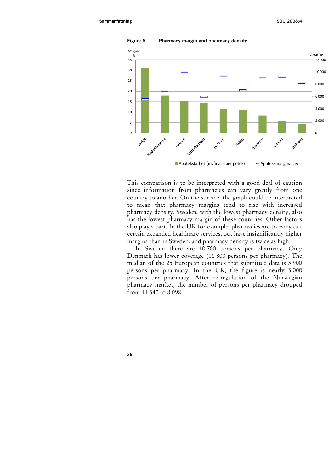

**Figure 6 Pharmacy margin and pharmacy density** 

This comparison is to be interpreted with a good deal of caution since information from pharmacies can vary greatly from one country to another. On the surface, the graph could be interpreted to mean that pharmacy margins tend to rise with increased pharmacy density. Sweden, with the lowest pharmacy density, also has the lowest pharmacy margin of these countries. Other factors also play a part. In the UK for example, pharmacies are to carry out certain expanded healthcare services, but have insignificantly higher margins than in Sweden, and pharmacy density is twice as high.

In Sweden there are 10 700 persons per pharmacy. Only Denmark has lower coverage (16 800 persons per pharmacy). The median of the 25 European countries that submitted data is 3 900 persons per pharmacy. In the UK, the figure is nearly 5 000 persons per pharmacy. After re-regulation of the Norwegian pharmacy market, the number of persons per pharmacy dropped from 11 540 to 8 098.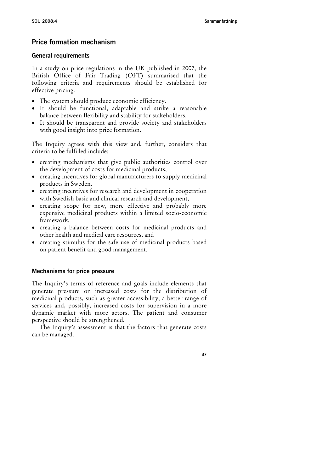# **Price formation mechanism**

#### **General requirements**

In a study on price regulations in the UK published in 2007, the British Office of Fair Trading (OFT) summarised that the following criteria and requirements should be established for effective pricing.

- The system should produce economic efficiency.
- It should be functional, adaptable and strike a reasonable balance between flexibility and stability for stakeholders.
- It should be transparent and provide society and stakeholders with good insight into price formation.

The Inquiry agrees with this view and, further, considers that criteria to be fulfilled include:

- creating mechanisms that give public authorities control over the development of costs for medicinal products,
- creating incentives for global manufacturers to supply medicinal products in Sweden,
- creating incentives for research and development in cooperation with Swedish basic and clinical research and development,
- creating scope for new, more effective and probably more expensive medicinal products within a limited socio-economic framework,
- creating a balance between costs for medicinal products and other health and medical care resources, and
- creating stimulus for the safe use of medicinal products based on patient benefit and good management.

## **Mechanisms for price pressure**

The Inquiry's terms of reference and goals include elements that generate pressure on increased costs for the distribution of medicinal products, such as greater accessibility, a better range of services and, possibly, increased costs for supervision in a more dynamic market with more actors. The patient and consumer perspective should be strengthened.

The Inquiry's assessment is that the factors that generate costs can be managed.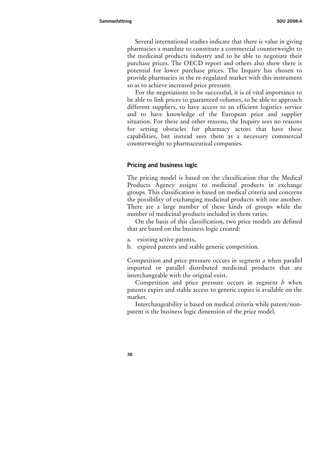Several international studies indicate that there is value in giving pharmacies a mandate to constitute a commercial counterweight to the medicinal products industry and to be able to negotiate their purchase prices. The OECD report and others also show there is potential for lower purchase prices. The Inquiry has chosen to provide pharmacies in the re-regulated market with this instrument so as to achieve increased price pressure.

For the negotiations to be successful, it is of vital importance to be able to link prices to guaranteed volumes, to be able to approach different suppliers, to have access to an efficient logistics service and to have knowledge of the European price and supplier situation. For these and other reasons, the Inquiry sees no reasons for setting obstacles for pharmacy actors that have these capabilities, but instead sees them as a necessary commercial counterweight to pharmaceutical companies.

#### **Pricing and business logic**

The pricing model is based on the classification that the Medical Products Agency assigns to medicinal products in exchange groups. This classification is based on medical criteria and concerns the possibility of exchanging medicinal products with one another. There are a large number of these kinds of groups while the number of medicinal products included in them varies.

On the basis of this classification, two price models are defined that are based on the business logic created:

- a. existing active patents,
- b. expired patents and stable generic competition.

Competition and price pressure occurs in segment *a* when parallel imported or parallel distributed medicinal products that are interchangeable with the original exist.

Competition and price pressure occurs in segment *b* when patents expire and stable access to generic copies is available on the market.

Interchangeability is based on medical criteria while patent/nonpatent is the business logic dimension of the price model.

**<sup>38</sup>**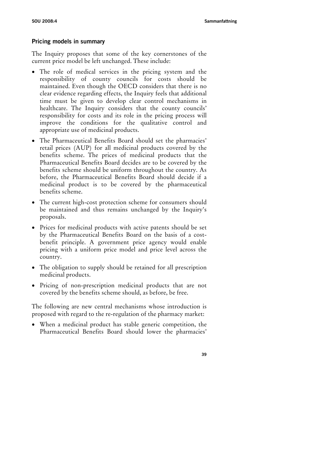# **Pricing models in summary**

The Inquiry proposes that some of the key cornerstones of the current price model be left unchanged. These include:

- The role of medical services in the pricing system and the responsibility of county councils for costs should be maintained. Even though the OECD considers that there is no clear evidence regarding effects, the Inquiry feels that additional time must be given to develop clear control mechanisms in healthcare. The Inquiry considers that the county councils' responsibility for costs and its role in the pricing process will improve the conditions for the qualitative control and appropriate use of medicinal products.
- The Pharmaceutical Benefits Board should set the pharmacies' retail prices (AUP) for all medicinal products covered by the benefits scheme. The prices of medicinal products that the Pharmaceutical Benefits Board decides are to be covered by the benefits scheme should be uniform throughout the country. As before, the Pharmaceutical Benefits Board should decide if a medicinal product is to be covered by the pharmaceutical benefits scheme.
- The current high-cost protection scheme for consumers should be maintained and thus remains unchanged by the Inquiry's proposals.
- Prices for medicinal products with active patents should be set by the Pharmaceutical Benefits Board on the basis of a costbenefit principle. A government price agency would enable pricing with a uniform price model and price level across the country.
- The obligation to supply should be retained for all prescription medicinal products.
- Pricing of non-prescription medicinal products that are not covered by the benefits scheme should, as before, be free.

The following are new central mechanisms whose introduction is proposed with regard to the re-regulation of the pharmacy market:

• When a medicinal product has stable generic competition, the Pharmaceutical Benefits Board should lower the pharmacies'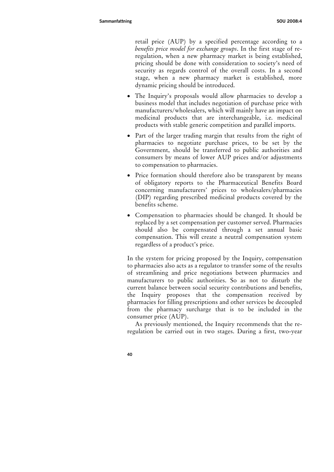retail price (AUP) by a specified percentage according to a *benefits price model for exchange groups*. In the first stage of reregulation, when a new pharmacy market is being established, pricing should be done with consideration to society's need of security as regards control of the overall costs. In a second stage, when a new pharmacy market is established, more dynamic pricing should be introduced.

- The Inquiry's proposals would allow pharmacies to develop a business model that includes negotiation of purchase price with manufacturers/wholesalers, which will mainly have an impact on medicinal products that are interchangeable, i.e. medicinal products with stable generic competition and parallel imports.
- Part of the larger trading margin that results from the right of pharmacies to negotiate purchase prices, to be set by the Government, should be transferred to public authorities and consumers by means of lower AUP prices and/or adjustments to compensation to pharmacies.
- Price formation should therefore also be transparent by means of obligatory reports to the Pharmaceutical Benefits Board concerning manufacturers' prices to wholesalers/pharmacies (DIP) regarding prescribed medicinal products covered by the benefits scheme.
- Compensation to pharmacies should be changed. It should be replaced by a set compensation per customer served. Pharmacies should also be compensated through a set annual basic compensation. This will create a neutral compensation system regardless of a product's price.

In the system for pricing proposed by the Inquiry, compensation to pharmacies also acts as a regulator to transfer some of the results of streamlining and price negotiations between pharmacies and manufacturers to public authorities. So as not to disturb the current balance between social security contributions and benefits, the Inquiry proposes that the compensation received by pharmacies for filling prescriptions and other services be decoupled from the pharmacy surcharge that is to be included in the consumer price (AUP).

As previously mentioned, the Inquiry recommends that the reregulation be carried out in two stages. During a first, two-year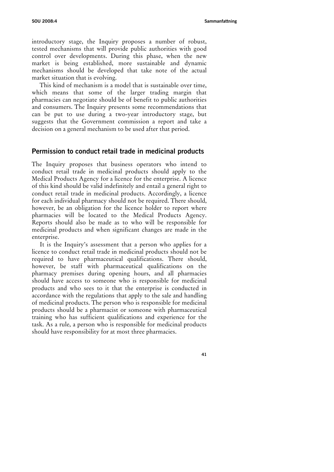introductory stage, the Inquiry proposes a number of robust, tested mechanisms that will provide public authorities with good control over developments. During this phase, when the new market is being established, more sustainable and dynamic mechanisms should be developed that take note of the actual market situation that is evolving.

This kind of mechanism is a model that is sustainable over time, which means that some of the larger trading margin that pharmacies can negotiate should be of benefit to public authorities and consumers. The Inquiry presents some recommendations that can be put to use during a two-year introductory stage, but suggests that the Government commission a report and take a decision on a general mechanism to be used after that period.

## **Permission to conduct retail trade in medicinal products**

The Inquiry proposes that business operators who intend to conduct retail trade in medicinal products should apply to the Medical Products Agency for a licence for the enterprise. A licence of this kind should be valid indefinitely and entail a general right to conduct retail trade in medicinal products. Accordingly, a licence for each individual pharmacy should not be required. There should, however, be an obligation for the licence holder to report where pharmacies will be located to the Medical Products Agency. Reports should also be made as to who will be responsible for medicinal products and when significant changes are made in the enterprise.

It is the Inquiry's assessment that a person who applies for a licence to conduct retail trade in medicinal products should not be required to have pharmaceutical qualifications. There should, however, be staff with pharmaceutical qualifications on the pharmacy premises during opening hours, and all pharmacies should have access to someone who is responsible for medicinal products and who sees to it that the enterprise is conducted in accordance with the regulations that apply to the sale and handling of medicinal products. The person who is responsible for medicinal products should be a pharmacist or someone with pharmaceutical training who has sufficient qualifications and experience for the task. As a rule, a person who is responsible for medicinal products should have responsibility for at most three pharmacies.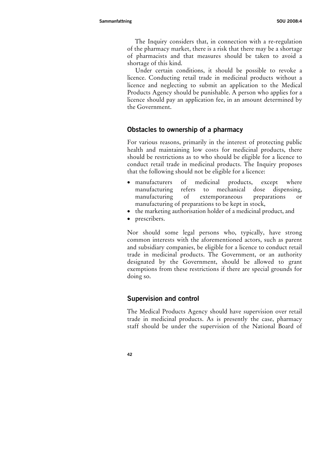The Inquiry considers that, in connection with a re-regulation of the pharmacy market, there is a risk that there may be a shortage of pharmacists and that measures should be taken to avoid a shortage of this kind.

Under certain conditions, it should be possible to revoke a licence. Conducting retail trade in medicinal products without a licence and neglecting to submit an application to the Medical Products Agency should be punishable. A person who applies for a licence should pay an application fee, in an amount determined by the Government.

## **Obstacles to ownership of a pharmacy**

For various reasons, primarily in the interest of protecting public health and maintaining low costs for medicinal products, there should be restrictions as to who should be eligible for a licence to conduct retail trade in medicinal products. The Inquiry proposes that the following should not be eligible for a licence:

- manufacturers of medicinal products, except where manufacturing refers to mechanical dose dispensing, manufacturing of extemporaneous preparations or manufacturing of preparations to be kept in stock,
- the marketing authorisation holder of a medicinal product, and
- prescribers.

Nor should some legal persons who, typically, have strong common interests with the aforementioned actors, such as parent and subsidiary companies, be eligible for a licence to conduct retail trade in medicinal products. The Government, or an authority designated by the Government, should be allowed to grant exemptions from these restrictions if there are special grounds for doing so.

## **Supervision and control**

The Medical Products Agency should have supervision over retail trade in medicinal products. As is presently the case, pharmacy staff should be under the supervision of the National Board of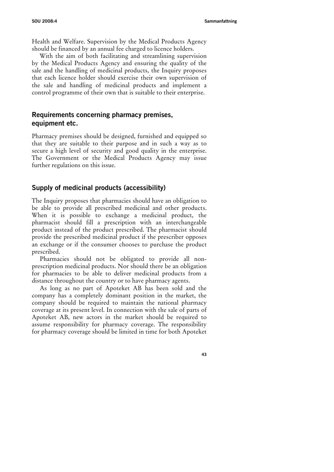Health and Welfare. Supervision by the Medical Products Agency should be financed by an annual fee charged to licence holders.

With the aim of both facilitating and streamlining supervision by the Medical Products Agency and ensuring the quality of the sale and the handling of medicinal products, the Inquiry proposes that each licence holder should exercise their own supervision of the sale and handling of medicinal products and implement a control programme of their own that is suitable to their enterprise.

# **Requirements concerning pharmacy premises, equipment etc.**

Pharmacy premises should be designed, furnished and equipped so that they are suitable to their purpose and in such a way as to secure a high level of security and good quality in the enterprise. The Government or the Medical Products Agency may issue further regulations on this issue.

# **Supply of medicinal products (accessibility)**

The Inquiry proposes that pharmacies should have an obligation to be able to provide all prescribed medicinal and other products. When it is possible to exchange a medicinal product, the pharmacist should fill a prescription with an interchangeable product instead of the product prescribed. The pharmacist should provide the prescribed medicinal product if the prescriber opposes an exchange or if the consumer chooses to purchase the product prescribed.

Pharmacies should not be obligated to provide all nonprescription medicinal products. Nor should there be an obligation for pharmacies to be able to deliver medicinal products from a distance throughout the country or to have pharmacy agents.

As long as no part of Apoteket AB has been sold and the company has a completely dominant position in the market, the company should be required to maintain the national pharmacy coverage at its present level. In connection with the sale of parts of Apoteket AB, new actors in the market should be required to assume responsibility for pharmacy coverage. The responsibility for pharmacy coverage should be limited in time for both Apoteket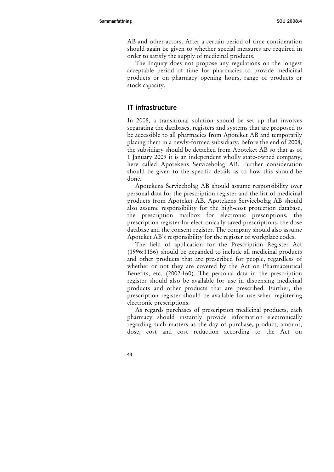AB and other actors. After a certain period of time consideration should again be given to whether special measures are required in order to satisfy the supply of medicinal products.

The Inquiry does not propose any regulations on the longest acceptable period of time for pharmacies to provide medicinal products or on pharmacy opening hours, range of products or stock capacity.

# **IT infrastructure**

In 2008, a transitional solution should be set up that involves separating the databases, registers and systems that are proposed to be accessible to all pharmacies from Apoteket AB and temporarily placing them in a newly-formed subsidiary. Before the end of 2008, the subsidiary should be detached from Apoteket AB so that as of 1 January 2009 it is an independent wholly state-owned company, here called Apotekens Servicebolag AB. Further consideration should be given to the specific details as to how this should be done.

Apotekens Servicebolag AB should assume responsibility over personal data for the prescription register and the list of medicinal products from Apoteket AB. Apotekens Servicebolag AB should also assume responsibility for the high-cost protection database, the prescription mailbox for electronic prescriptions, the prescription register for electronically saved prescriptions, the dose database and the consent register. The company should also assume Apoteket AB's responsibility for the register of workplace codes.

The field of application for the Prescription Register Act (1996:1156) should be expanded to include all medicinal products and other products that are prescribed for people, regardless of whether or not they are covered by the Act on Pharmaceutical Benefits, etc. (2002:160). The personal data in the prescription register should also be available for use in dispensing medicinal products and other products that are prescribed. Further, the prescription register should be available for use when registering electronic prescriptions.

As regards purchases of prescription medicinal products, each pharmacy should instantly provide information electronically regarding such matters as the day of purchase, product, amount, dose, cost and cost reduction according to the Act on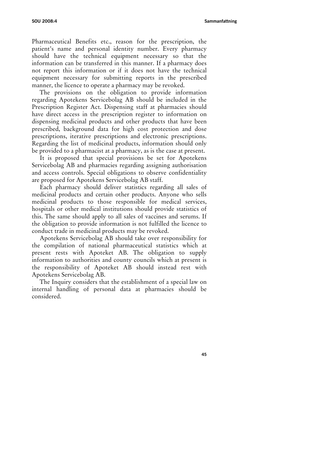Pharmaceutical Benefits etc., reason for the prescription, the patient's name and personal identity number. Every pharmacy should have the technical equipment necessary so that the information can be transferred in this manner. If a pharmacy does not report this information or if it does not have the technical equipment necessary for submitting reports in the prescribed manner, the licence to operate a pharmacy may be revoked.

The provisions on the obligation to provide information regarding Apotekens Servicebolag AB should be included in the Prescription Register Act. Dispensing staff at pharmacies should have direct access in the prescription register to information on dispensing medicinal products and other products that have been prescribed, background data for high cost protection and dose prescriptions, iterative prescriptions and electronic prescriptions. Regarding the list of medicinal products, information should only be provided to a pharmacist at a pharmacy, as is the case at present.

It is proposed that special provisions be set for Apotekens Servicebolag AB and pharmacies regarding assigning authorisation and access controls. Special obligations to observe confidentiality are proposed for Apotekens Servicebolag AB staff.

Each pharmacy should deliver statistics regarding all sales of medicinal products and certain other products. Anyone who sells medicinal products to those responsible for medical services, hospitals or other medical institutions should provide statistics of this. The same should apply to all sales of vaccines and serums. If the obligation to provide information is not fulfilled the licence to conduct trade in medicinal products may be revoked.

Apotekens Servicebolag AB should take over responsibility for the compilation of national pharmaceutical statistics which at present rests with Apoteket AB. The obligation to supply information to authorities and county councils which at present is the responsibility of Apoteket AB should instead rest with Apotekens Servicebolag AB.

The Inquiry considers that the establishment of a special law on internal handling of personal data at pharmacies should be considered.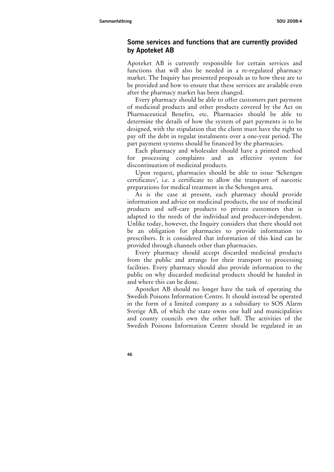# **Some services and functions that are currently provided by Apoteket AB**

Apoteket AB is currently responsible for certain services and functions that will also be needed in a re-regulated pharmacy market. The Inquiry has presented proposals as to how these are to be provided and how to ensure that these services are available even after the pharmacy market has been changed.

Every pharmacy should be able to offer customers part payment of medicinal products and other products covered by the Act on Pharmaceutical Benefits, etc. Pharmacies should be able to determine the details of how the system of part payments is to be designed, with the stipulation that the client must have the right to pay off the debt in regular instalments over a one-year period. The part payment systems should be financed by the pharmacies.

Each pharmacy and wholesaler should have a printed method for processing complaints and an effective system for discontinuation of medicinal products.

Upon request, pharmacies should be able to issue 'Schengen certificates', i.e. a certificate to allow the transport of narcotic preparations for medical treatment in the Schengen area.

As is the case at present, each pharmacy should provide information and advice on medicinal products, the use of medicinal products and self-care products to private customers that is adapted to the needs of the individual and producer-independent. Unlike today, however, the Inquiry considers that there should not be an obligation for pharmacies to provide information to prescribers. It is considered that information of this kind can be provided through channels other than pharmacies.

Every pharmacy should accept discarded medicinal products from the public and arrange for their transport to processing facilities. Every pharmacy should also provide information to the public on why discarded medicinal products should be handed in and where this can be done.

Apoteket AB should no longer have the task of operating the Swedish Poisons Information Centre. It should instead be operated in the form of a limited company as a subsidiary to SOS Alarm Sverige AB, of which the state owns one half and municipalities and county councils own the other half. The activities of the Swedish Poisons Information Centre should be regulated in an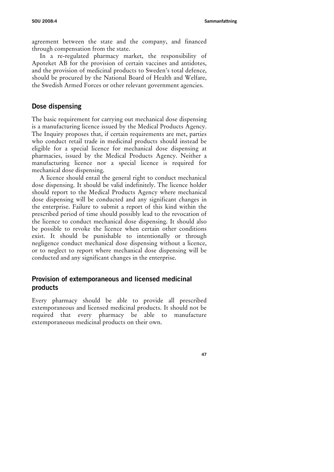agreement between the state and the company, and financed through compensation from the state.

In a re-regulated pharmacy market, the responsibility of Apoteket AB for the provision of certain vaccines and antidotes, and the provision of medicinal products to Sweden's total defence, should be procured by the National Board of Health and Welfare, the Swedish Armed Forces or other relevant government agencies.

#### **Dose dispensing**

The basic requirement for carrying out mechanical dose dispensing is a manufacturing licence issued by the Medical Products Agency. The Inquiry proposes that, if certain requirements are met, parties who conduct retail trade in medicinal products should instead be eligible for a special licence for mechanical dose dispensing at pharmacies, issued by the Medical Products Agency. Neither a manufacturing licence nor a special licence is required for mechanical dose dispensing.

A licence should entail the general right to conduct mechanical dose dispensing. It should be valid indefinitely. The licence holder should report to the Medical Products Agency where mechanical dose dispensing will be conducted and any significant changes in the enterprise. Failure to submit a report of this kind within the prescribed period of time should possibly lead to the revocation of the licence to conduct mechanical dose dispensing. It should also be possible to revoke the licence when certain other conditions exist. It should be punishable to intentionally or through negligence conduct mechanical dose dispensing without a licence, or to neglect to report where mechanical dose dispensing will be conducted and any significant changes in the enterprise.

# **Provision of extemporaneous and licensed medicinal products**

Every pharmacy should be able to provide all prescribed extemporaneous and licensed medicinal products. It should not be required that every pharmacy be able to manufacture extemporaneous medicinal products on their own.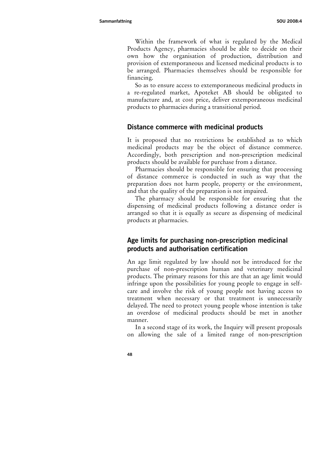Within the framework of what is regulated by the Medical Products Agency, pharmacies should be able to decide on their own how the organisation of production, distribution and provision of extemporaneous and licensed medicinal products is to be arranged. Pharmacies themselves should be responsible for financing.

So as to ensure access to extemporaneous medicinal products in a re-regulated market, Apoteket AB should be obligated to manufacture and, at cost price, deliver extemporaneous medicinal products to pharmacies during a transitional period.

## **Distance commerce with medicinal products**

It is proposed that no restrictions be established as to which medicinal products may be the object of distance commerce. Accordingly, both prescription and non-prescription medicinal products should be available for purchase from a distance.

Pharmacies should be responsible for ensuring that processing of distance commerce is conducted in such as way that the preparation does not harm people, property or the environment, and that the quality of the preparation is not impaired.

The pharmacy should be responsible for ensuring that the dispensing of medicinal products following a distance order is arranged so that it is equally as secure as dispensing of medicinal products at pharmacies.

# **Age limits for purchasing non-prescription medicinal products and authorisation certification**

An age limit regulated by law should not be introduced for the purchase of non-prescription human and veterinary medicinal products. The primary reasons for this are that an age limit would infringe upon the possibilities for young people to engage in selfcare and involve the risk of young people not having access to treatment when necessary or that treatment is unnecessarily delayed. The need to protect young people whose intention is take an overdose of medicinal products should be met in another manner.

In a second stage of its work, the Inquiry will present proposals on allowing the sale of a limited range of non-prescription